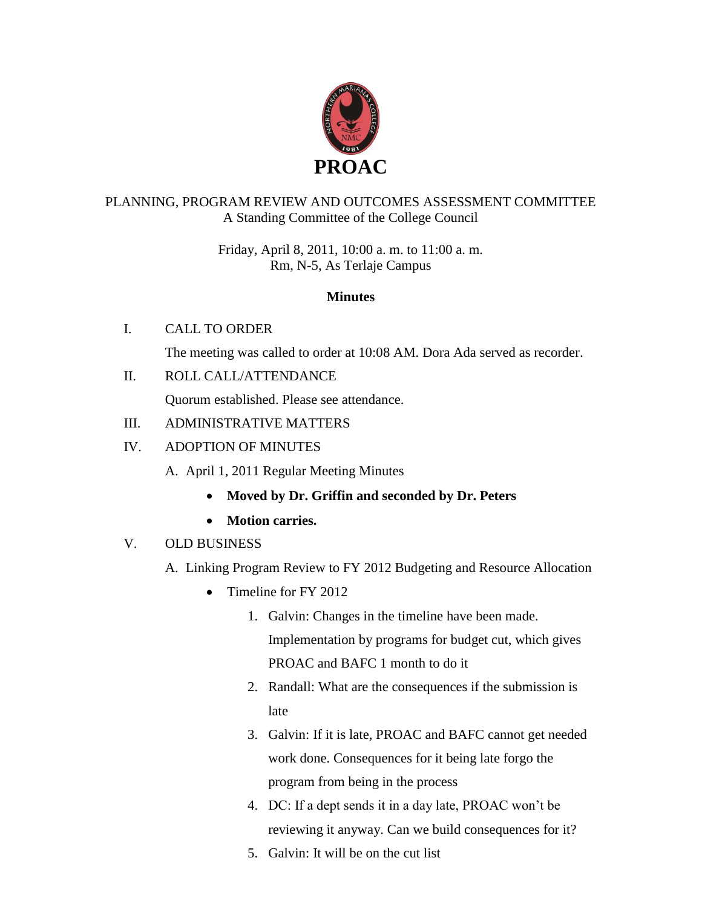

## PLANNING, PROGRAM REVIEW AND OUTCOMES ASSESSMENT COMMITTEE A Standing Committee of the College Council

Friday, April 8, 2011, 10:00 a. m. to 11:00 a. m. Rm, N-5, As Terlaje Campus

#### **Minutes**

## I. CALL TO ORDER

The meeting was called to order at 10:08 AM. Dora Ada served as recorder.

II. ROLL CALL/ATTENDANCE

Quorum established. Please see attendance.

## III. ADMINISTRATIVE MATTERS

## IV. ADOPTION OF MINUTES

- A. April 1, 2011 Regular Meeting Minutes
	- **Moved by Dr. Griffin and seconded by Dr. Peters**
	- **Motion carries.**

## V. OLD BUSINESS

- A. Linking Program Review to FY 2012 Budgeting and Resource Allocation
	- Timeline for FY 2012
		- 1. Galvin: Changes in the timeline have been made. Implementation by programs for budget cut, which gives PROAC and BAFC 1 month to do it
		- 2. Randall: What are the consequences if the submission is late
		- 3. Galvin: If it is late, PROAC and BAFC cannot get needed work done. Consequences for it being late forgo the program from being in the process
		- 4. DC: If a dept sends it in a day late, PROAC won't be reviewing it anyway. Can we build consequences for it?
		- 5. Galvin: It will be on the cut list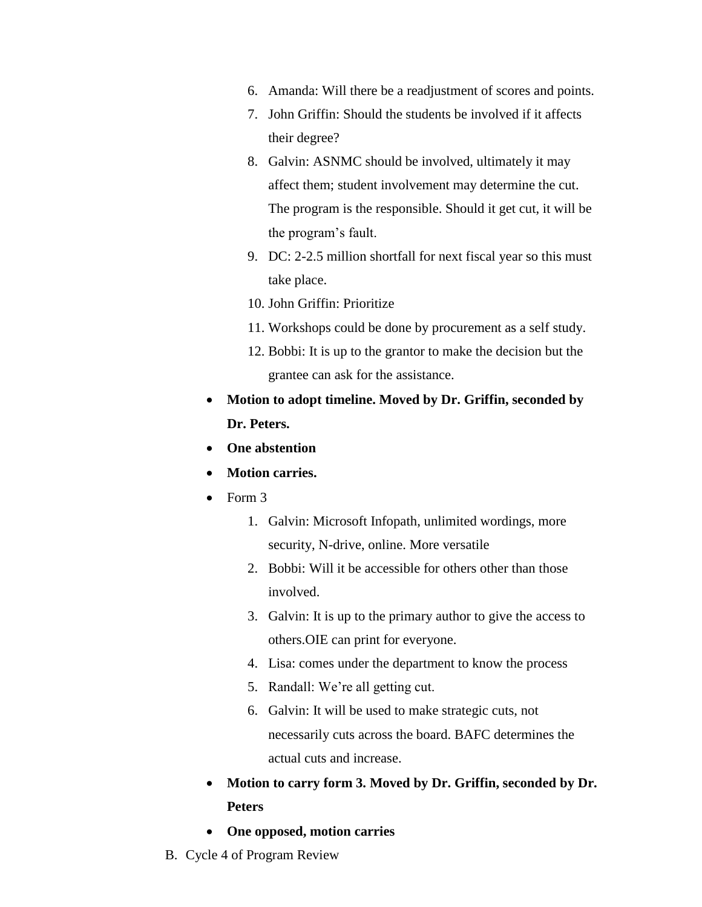- 6. Amanda: Will there be a readjustment of scores and points.
- 7. John Griffin: Should the students be involved if it affects their degree?
- 8. Galvin: ASNMC should be involved, ultimately it may affect them; student involvement may determine the cut. The program is the responsible. Should it get cut, it will be the program's fault.
- 9. DC: 2-2.5 million shortfall for next fiscal year so this must take place.
- 10. John Griffin: Prioritize
- 11. Workshops could be done by procurement as a self study.
- 12. Bobbi: It is up to the grantor to make the decision but the grantee can ask for the assistance.
- **Motion to adopt timeline. Moved by Dr. Griffin, seconded by Dr. Peters.**
- **One abstention**
- **Motion carries.**
- $\bullet$  Form 3
	- 1. Galvin: Microsoft Infopath, unlimited wordings, more security, N-drive, online. More versatile
	- 2. Bobbi: Will it be accessible for others other than those involved.
	- 3. Galvin: It is up to the primary author to give the access to others.OIE can print for everyone.
	- 4. Lisa: comes under the department to know the process
	- 5. Randall: We're all getting cut.
	- 6. Galvin: It will be used to make strategic cuts, not necessarily cuts across the board. BAFC determines the actual cuts and increase.
- **Motion to carry form 3. Moved by Dr. Griffin, seconded by Dr. Peters**
- **One opposed, motion carries**
- B. Cycle 4 of Program Review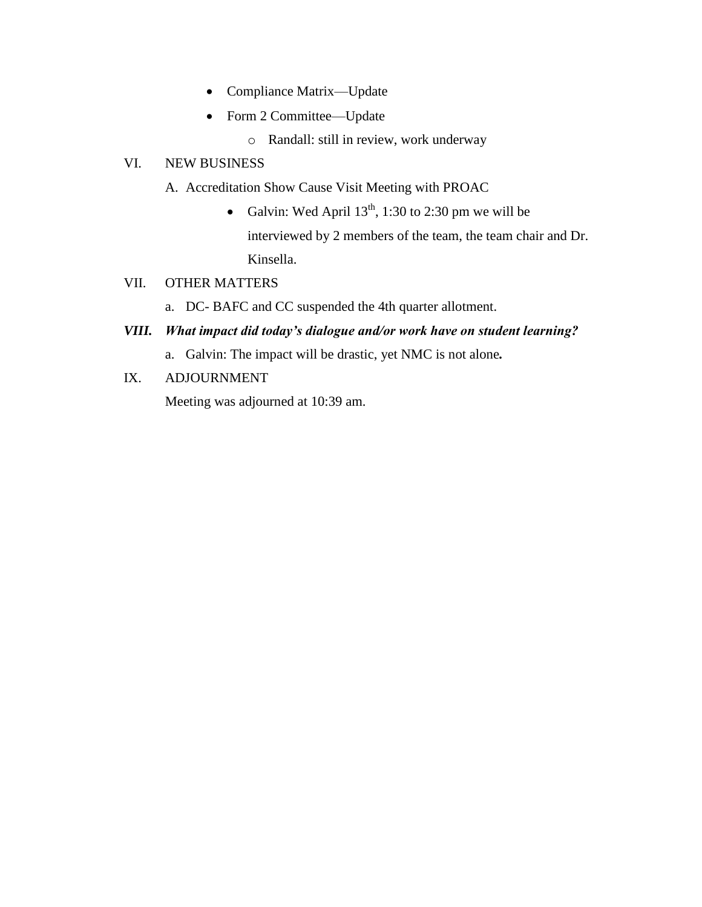- Compliance Matrix—Update
- Form 2 Committee—Update
	- o Randall: still in review, work underway

#### VI. NEW BUSINESS

- A. Accreditation Show Cause Visit Meeting with PROAC
	- Galvin: Wed April  $13<sup>th</sup>$ , 1:30 to 2:30 pm we will be interviewed by 2 members of the team, the team chair and Dr. Kinsella.
- VII. OTHER MATTERS
	- a. DC- BAFC and CC suspended the 4th quarter allotment.

## *VIII. What impact did today's dialogue and/or work have on student learning?*

- a. Galvin: The impact will be drastic, yet NMC is not alone*.*
- IX. ADJOURNMENT

Meeting was adjourned at 10:39 am.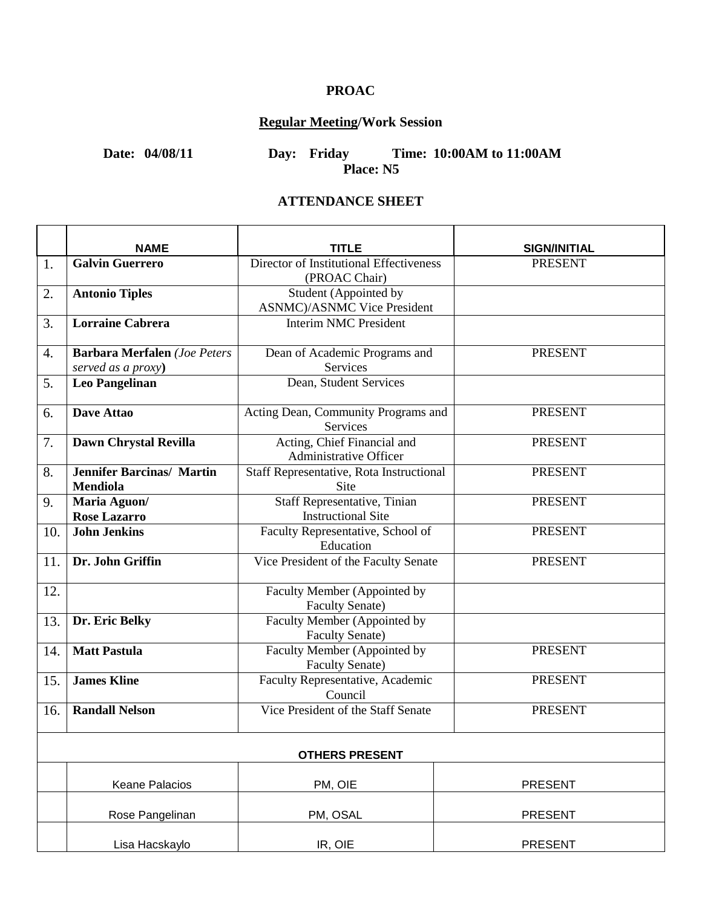# **PROAC**

# **Regular Meeting/Work Session**

**Date: 04/08/11 Day: Friday Time: 10:00AM to 11:00AM Place: N5**

#### **ATTENDANCE SHEET**

|                       | <b>NAME</b>                                         | TITLE                                                  | <b>SIGN/INITIAL</b> |  |  |
|-----------------------|-----------------------------------------------------|--------------------------------------------------------|---------------------|--|--|
| 1.                    | <b>Galvin Guerrero</b>                              | Director of Institutional Effectiveness                | <b>PRESENT</b>      |  |  |
|                       |                                                     | (PROAC Chair)                                          |                     |  |  |
| 2.                    | <b>Antonio Tiples</b>                               | Student (Appointed by                                  |                     |  |  |
|                       |                                                     | <b>ASNMC</b> )/ASNMC Vice President                    |                     |  |  |
| 3.                    | <b>Lorraine Cabrera</b>                             | <b>Interim NMC President</b>                           |                     |  |  |
| 4.                    | <b>Barbara Merfalen</b> (Joe Peters                 | Dean of Academic Programs and                          | <b>PRESENT</b>      |  |  |
|                       | served as a proxy)                                  | Services                                               |                     |  |  |
| 5.                    | <b>Leo Pangelinan</b>                               | Dean, Student Services                                 |                     |  |  |
| 6.                    | Dave Attao                                          | Acting Dean, Community Programs and<br>Services        | <b>PRESENT</b>      |  |  |
| 7.                    | Dawn Chrystal Revilla                               | Acting, Chief Financial and<br>Administrative Officer  | <b>PRESENT</b>      |  |  |
| 8.                    | <b>Jennifer Barcinas/ Martin</b><br><b>Mendiola</b> | Staff Representative, Rota Instructional<br>Site       | <b>PRESENT</b>      |  |  |
| 9.                    | Maria Aguon/                                        | Staff Representative, Tinian                           | <b>PRESENT</b>      |  |  |
|                       | <b>Rose Lazarro</b>                                 | <b>Instructional Site</b>                              |                     |  |  |
| 10.                   | <b>John Jenkins</b>                                 | Faculty Representative, School of                      | <b>PRESENT</b>      |  |  |
|                       |                                                     | Education                                              |                     |  |  |
| 11.                   | Dr. John Griffin                                    | Vice President of the Faculty Senate                   | <b>PRESENT</b>      |  |  |
| 12.                   |                                                     | Faculty Member (Appointed by                           |                     |  |  |
|                       |                                                     | <b>Faculty Senate)</b>                                 |                     |  |  |
| 13.                   | Dr. Eric Belky                                      | Faculty Member (Appointed by<br><b>Faculty Senate)</b> |                     |  |  |
| 14.                   | <b>Matt Pastula</b>                                 | Faculty Member (Appointed by                           | <b>PRESENT</b>      |  |  |
|                       |                                                     | <b>Faculty Senate)</b>                                 |                     |  |  |
| 15.                   | <b>James Kline</b>                                  | Faculty Representative, Academic                       | <b>PRESENT</b>      |  |  |
|                       |                                                     | Council                                                |                     |  |  |
| 16.                   | <b>Randall Nelson</b>                               | Vice President of the Staff Senate                     | <b>PRESENT</b>      |  |  |
| <b>OTHERS PRESENT</b> |                                                     |                                                        |                     |  |  |
|                       |                                                     |                                                        |                     |  |  |
|                       | <b>Keane Palacios</b>                               | PM, OIE                                                | <b>PRESENT</b>      |  |  |
|                       |                                                     |                                                        | <b>PRESENT</b>      |  |  |
|                       | Rose Pangelinan                                     | PM, OSAL                                               |                     |  |  |
|                       | Lisa Hacskaylo                                      | IR, OIE                                                | <b>PRESENT</b>      |  |  |